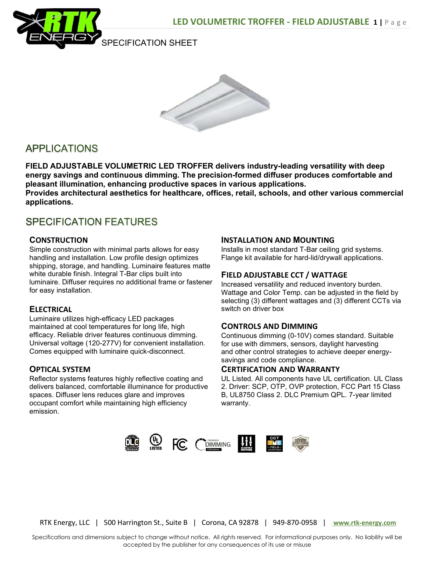

SPECIFICATION SHEET



# **APPLICATIONS**

FIELD ADJUSTABLE VOLUMETRIC LED TROFFER delivers industry-leading versatility with deep energy savings and continuous dimming. The precision-formed diffuser produces comfortable and pleasant illumination, enhancing productive spaces in various applications. Provides architectural aesthetics for healthcare, offices, retail, schools, and other various commercial applications.

## **SPECIFICATION FEATURES**

#### **CONSTRUCTION**

Simple construction with minimal parts allows for easy handling and installation. Low profile design optimizes shipping, storage, and handling. Luminaire features matte white durable finish. Integral T-Bar clips built into luminaire. Diffuser requires no additional frame or fastener for easy installation.

#### **ELECTRICAL**

Luminaire utilizes high-efficacy LED packages maintained at cool temperatures for long life, high efficacy. Reliable driver features continuous dimming. Universal voltage (120-277V) for convenient installation. Comes equipped with luminaire quick-disconnect.

#### OPTICAL SYSTEM

Reflector systems features highly reflective coating and delivers balanced, comfortable illuminance for productive spaces. Diffuser lens reduces glare and improves occupant comfort while maintaining high efficiency emission.

#### INSTALLATION AND MOUNTING

Installs in most standard T-Bar ceiling grid systems. Flange kit available for hard-lid/drywall applications.

### FIELD ADJUSTABLE CCT / WATTAGE

Increased versatility and reduced inventory burden. Wattage and Color Temp. can be adjusted in the field by selecting (3) different wattages and (3) different CCTs via switch on driver box

#### CONTROLS AND DIMMING

Continuous dimming (0-10V) comes standard. Suitable for use with dimmers, sensors, daylight harvesting and other control strategies to achieve deeper energysavings and code compliance.

#### CERTIFICATION AND WARRANTY

UL Listed. All components have UL certification. UL Class 2. Driver: SCP, OTP, OVP protection, FCC Part 15 Class B, UL8750 Class 2. DLC Premium QPL. 7-year limited warranty.



RTK Energy, LLC | 500 Harrington St., Suite B | Corona, CA 92878 | 949-870-0958 | www.rtk-energy.com

Specifications and dimensions subject to change without notice. All rights reserved. For informational purposes only. No liability will be accepted by the publisher for any consequences of its use or misuse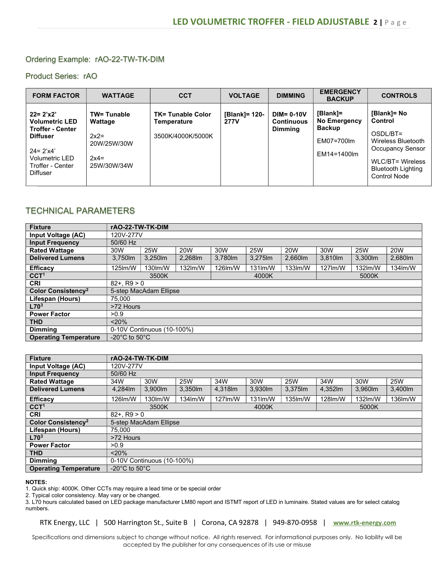#### Ordering Example: rAO-22-TW-TK-DIM

Product Series: rAO

| <b>FORM FACTOR</b>                                                                                                                                           | <b>WATTAGE</b>                                                                  | <b>CCT</b>                                                   | <b>VOLTAGE</b>               | <b>DIMMING</b>                                       | <b>EMERGENCY</b><br><b>BACKUP</b>                                      | <b>CONTROLS</b>                                                                                                                                             |
|--------------------------------------------------------------------------------------------------------------------------------------------------------------|---------------------------------------------------------------------------------|--------------------------------------------------------------|------------------------------|------------------------------------------------------|------------------------------------------------------------------------|-------------------------------------------------------------------------------------------------------------------------------------------------------------|
| $22 = 2'x2'$<br><b>Volumetric LED</b><br><b>Troffer - Center</b><br><b>Diffuser</b><br>$24 = 2'x4'$<br>Volumetric LED<br>Troffer - Center<br><b>Diffuser</b> | <b>TW= Tunable</b><br>Wattage<br>$2x2=$<br>20W/25W/30W<br>$2x4=$<br>25W/30W/34W | <b>TK= Tunable Color</b><br>Temperature<br>3500K/4000K/5000K | [Blank]= 120-<br><b>277V</b> | $DIM = 0-10V$<br><b>Continuous</b><br><b>Dimming</b> | [Blank]=<br>No Emergency<br><b>Backup</b><br>EM07=700lm<br>EM14=1400lm | [Blank]= No<br>Control<br>OSDL/BT=<br>Wireless Bluetooth<br><b>Occupancy Sensor</b><br><b>WLC/BT= Wireless</b><br><b>Bluetooth Lighting</b><br>Control Node |

## TECHNICAL PARAMETERS

| <b>Fixture</b>                       | rAO-22-TW-TK-DIM                                                                 |                 |         |         |            |            |         |         |         |
|--------------------------------------|----------------------------------------------------------------------------------|-----------------|---------|---------|------------|------------|---------|---------|---------|
| Input Voltage (AC)                   | 120V-277V                                                                        |                 |         |         |            |            |         |         |         |
| <b>Input Frequency</b>               | 50/60 Hz                                                                         |                 |         |         |            |            |         |         |         |
| <b>Rated Wattage</b>                 | <b>25W</b><br><b>20W</b><br>30W<br><b>25W</b><br><b>25W</b><br>20W<br>30W<br>30W |                 |         |         |            | 20W        |         |         |         |
| <b>Delivered Lumens</b>              | 3.750lm                                                                          | 3,250lm         | 2,268lm | 3,780lm | 3,275lm    | 2,660 lm   | 3.810lm | 3.300m  | 2,680lm |
| <b>Efficacy</b>                      | 125lm/W                                                                          | 130 lm/W        | 132lm/W | 126lm/W | $131$ lm/W | $133$ lm/W | 127lm/W | 132lm/W | 134lm/W |
| CCT <sup>1</sup>                     | 3500K                                                                            |                 |         | 4000K   |            |            | 5000K   |         |         |
| <b>CRI</b>                           |                                                                                  | $82 + . R9 > 0$ |         |         |            |            |         |         |         |
| <b>Color Consistency<sup>2</sup></b> | 5-step MacAdam Ellipse                                                           |                 |         |         |            |            |         |         |         |
| Lifespan (Hours)                     | 75.000                                                                           |                 |         |         |            |            |         |         |         |
| L70 <sup>3</sup>                     | >72 Hours                                                                        |                 |         |         |            |            |         |         |         |
| <b>Power Factor</b>                  | >0.9                                                                             |                 |         |         |            |            |         |         |         |
| <b>THD</b>                           | $20\%$                                                                           |                 |         |         |            |            |         |         |         |
| <b>Dimming</b>                       | 0-10V Continuous (10-100%)                                                       |                 |         |         |            |            |         |         |         |
| <b>Operating Temperature</b>         | -20 $^{\circ}$ C to 50 $^{\circ}$ C                                              |                 |         |         |            |            |         |         |         |

| <b>Fixture</b>                 | rAO-24-TW-TK-DIM                    |                 |            |            |         |            |         |         |            |
|--------------------------------|-------------------------------------|-----------------|------------|------------|---------|------------|---------|---------|------------|
| Input Voltage (AC)             | 120V-277V                           |                 |            |            |         |            |         |         |            |
| <b>Input Frequency</b>         | 50/60 Hz                            |                 |            |            |         |            |         |         |            |
| <b>Rated Wattage</b>           | 34W                                 | 30W             | <b>25W</b> | 34W        | 30W     | <b>25W</b> | 34W     | 30W     | <b>25W</b> |
| <b>Delivered Lumens</b>        | 4.284lm                             | 3.900lm         | 3,350lm    | 4.318m     | 3,930lm | 3,375 lm   | 4,352m  | 3,960lm | 3,400lm    |
| <b>Efficacy</b>                | 126lm/W                             | 130 lm/W        | 134lm/W    | $127$ lm/W | 131lm/W | 135 lm/W   | 128lm/W | 132lm/W | 136lm/W    |
| CCT <sup>1</sup>               | 3500K                               |                 |            | 4000K      |         |            | 5000K   |         |            |
| <b>CRI</b>                     |                                     | $82 + . R9 > 0$ |            |            |         |            |         |         |            |
| Color Consistency <sup>2</sup> | 5-step MacAdam Ellipse              |                 |            |            |         |            |         |         |            |
| Lifespan (Hours)               | 75.000                              |                 |            |            |         |            |         |         |            |
| L70 <sup>3</sup>               | >72 Hours                           |                 |            |            |         |            |         |         |            |
| <b>Power Factor</b>            | >0.9                                |                 |            |            |         |            |         |         |            |
| <b>THD</b>                     | < 20%                               |                 |            |            |         |            |         |         |            |
| <b>Dimming</b>                 | 0-10V Continuous (10-100%)          |                 |            |            |         |            |         |         |            |
| <b>Operating Temperature</b>   | -20 $^{\circ}$ C to 50 $^{\circ}$ C |                 |            |            |         |            |         |         |            |

#### NOTES:

1. Quick ship: 4000K. Other CCTs may require a lead time or be special order

2. Typical color consistency. May vary or be changed.

3. L70 hours calculated based on LED package manufacturer LM80 report and ISTMT report of LED in luminaire. Stated values are for select catalog numbers.

RTK Energy, LLC | 500 Harrington St., Suite B | Corona, CA 92878 | 949-870-0958 | www.rtk-energy.com

Specifications and dimensions subject to change without notice. All rights reserved. For informational purposes only. No liability will be accepted by the publisher for any consequences of its use or misuse